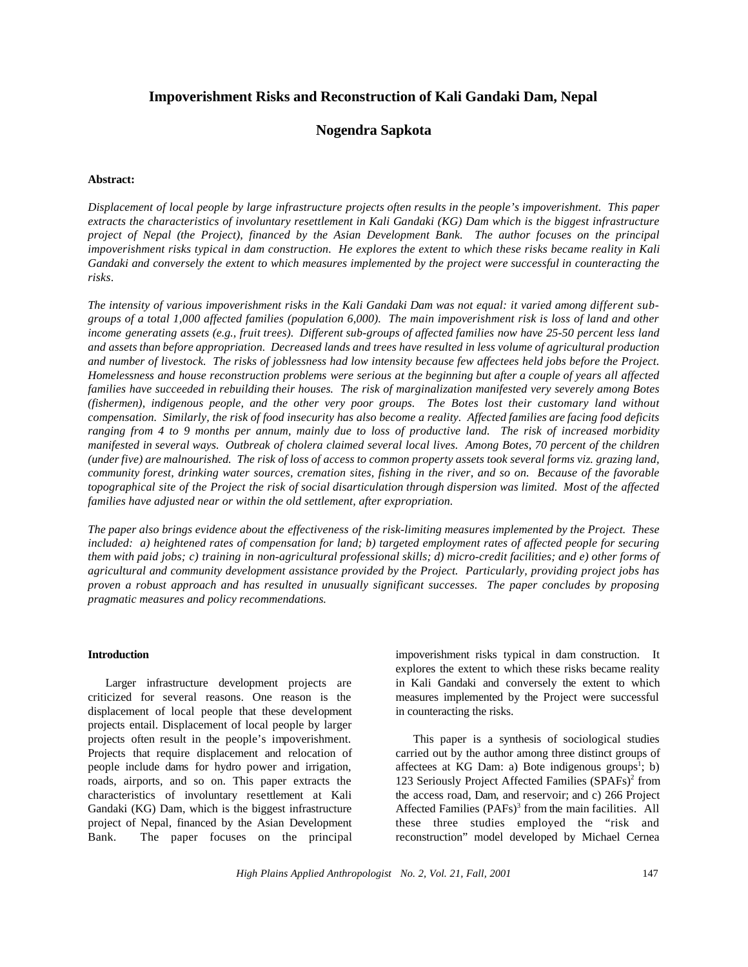# **Impoverishment Risks and Reconstruction of Kali Gandaki Dam, Nepal**

# **Nogendra Sapkota**

### **Abstract:**

*Displacement of local people by large infrastructure projects often results in the people's impoverishment. This paper extracts the characteristics of involuntary resettlement in Kali Gandaki (KG) Dam which is the biggest infrastructure project of Nepal (the Project), financed by the Asian Development Bank. The author focuses on the principal impoverishment risks typical in dam construction. He explores the extent to which these risks became reality in Kali Gandaki and conversely the extent to which measures implemented by the project were successful in counteracting the risks*.

The intensity of various impoverishment risks in the Kali Gandaki Dam was not equal: it varied among different sub*groups of a total 1,000 affected families (population 6,000). The main impoverishment risk is loss of land and other income generating assets (e.g., fruit trees). Different sub-groups of affected families now have 25-50 percent less land and assets than before appropriation. Decreased lands and trees have resulted in less volume of agricultural production and number of livestock. The risks of joblessness had low intensity because few affectees held jobs before the Project. Homelessness and house reconstruction problems were serious at the beginning but after a couple of years all affected families have succeeded in rebuilding their houses. The risk of marginalization manifested very severely among Botes (fishermen), indigenous people, and the other very poor groups. The Botes lost their customary land without compensation. Similarly, the risk of food insecurity has also become a reality. Affected families are facing food deficits ranging from 4 to 9 months per annum, mainly due to loss of productive land. The risk of increased morbidity manifested in several ways. Outbreak of cholera claimed several local lives. Among Botes, 70 percent of the children (under five) are malnourished. The risk of loss of access to common property assets took several forms viz. grazing land, community forest, drinking water sources, cremation sites, fishing in the river, and so on. Because of the favorable topographical site of the Project the risk of social disarticulation through dispersion was limited. Most of the affected families have adjusted near or within the old settlement, after expropriation.*

*The paper also brings evidence about the effectiveness of the risk-limiting measures implemented by the Project. These included: a) heightened rates of compensation for land; b) targeted employment rates of affected people for securing them with paid jobs; c) training in non-agricultural professional skills; d) micro-credit facilities; and e) other forms of agricultural and community development assistance provided by the Project. Particularly, providing project jobs has proven a robust approach and has resulted in unusually significant successes. The paper concludes by proposing pragmatic measures and policy recommendations.*

## **Introduction**

Larger infrastructure development projects are criticized for several reasons. One reason is the displacement of local people that these development projects entail. Displacement of local people by larger projects often result in the people's impoverishment. Projects that require displacement and relocation of people include dams for hydro power and irrigation, roads, airports, and so on. This paper extracts the characteristics of involuntary resettlement at Kali Gandaki (KG) Dam, which is the biggest infrastructure project of Nepal, financed by the Asian Development Bank. The paper focuses on the principal impoverishment risks typical in dam construction. It explores the extent to which these risks became reality in Kali Gandaki and conversely the extent to which measures implemented by the Project were successful in counteracting the risks.

This paper is a synthesis of sociological studies carried out by the author among three distinct groups of affectees at KG Dam: a) Bote indigenous groups<sup>1</sup>; b) 123 Seriously Project Affected Families (SPAFs)<sup>2</sup> from the access road, Dam, and reservoir; and c) 266 Project Affected Families (PAFs)<sup>3</sup> from the main facilities. All these three studies employed the "risk and reconstruction" model developed by Michael Cernea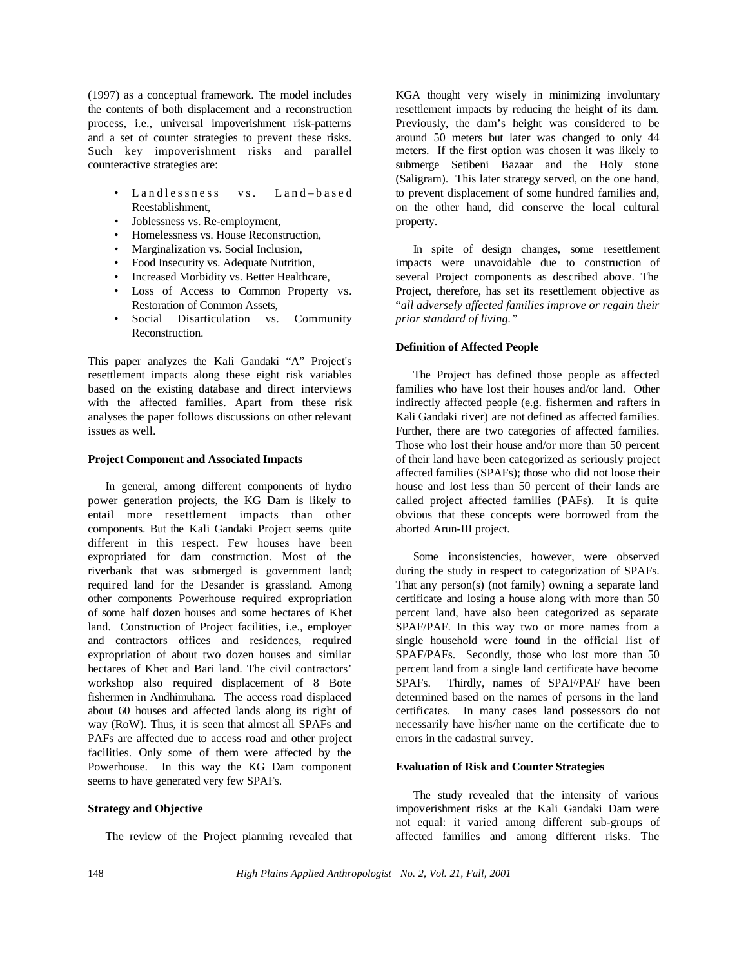(1997) as a conceptual framework. The model includes the contents of both displacement and a reconstruction process, i.e., universal impoverishment risk-patterns and a set of counter strategies to prevent these risks. Such key impoverishment risks and parallel counteractive strategies are:

- Landlessness vs. Land–based Reestablishment,
- Joblessness vs. Re-employment,
- Homelessness vs. House Reconstruction,
- Marginalization vs. Social Inclusion,
- Food Insecurity vs. Adequate Nutrition,
- Increased Morbidity vs. Better Healthcare,
- Loss of Access to Common Property vs. Restoration of Common Assets,
- Social Disarticulation vs. Community Reconstruction.

This paper analyzes the Kali Gandaki "A" Project's resettlement impacts along these eight risk variables based on the existing database and direct interviews with the affected families. Apart from these risk analyses the paper follows discussions on other relevant issues as well.

#### **Project Component and Associated Impacts**

In general, among different components of hydro power generation projects, the KG Dam is likely to entail more resettlement impacts than other components. But the Kali Gandaki Project seems quite different in this respect. Few houses have been expropriated for dam construction. Most of the riverbank that was submerged is government land; required land for the Desander is grassland. Among other components Powerhouse required expropriation of some half dozen houses and some hectares of Khet land. Construction of Project facilities, i.e., employer and contractors offices and residences, required expropriation of about two dozen houses and similar hectares of Khet and Bari land. The civil contractors' workshop also required displacement of 8 Bote fishermen in Andhimuhana. The access road displaced about 60 houses and affected lands along its right of way (RoW). Thus, it is seen that almost all SPAFs and PAFs are affected due to access road and other project facilities. Only some of them were affected by the Powerhouse. In this way the KG Dam component seems to have generated very few SPAFs.

## **Strategy and Objective**

The review of the Project planning revealed that

KGA thought very wisely in minimizing involuntary resettlement impacts by reducing the height of its dam. Previously, the dam's height was considered to be around 50 meters but later was changed to only 44 meters. If the first option was chosen it was likely to submerge Setibeni Bazaar and the Holy stone (Saligram). This later strategy served, on the one hand, to prevent displacement of some hundred families and, on the other hand, did conserve the local cultural property.

In spite of design changes, some resettlement impacts were unavoidable due to construction of several Project components as described above. The Project, therefore, has set its resettlement objective as "*all adversely affected families improve or regain their prior standard of living."*

#### **Definition of Affected People**

The Project has defined those people as affected families who have lost their houses and/or land. Other indirectly affected people (e.g. fishermen and rafters in Kali Gandaki river) are not defined as affected families. Further, there are two categories of affected families. Those who lost their house and/or more than 50 percent of their land have been categorized as seriously project affected families (SPAFs); those who did not loose their house and lost less than 50 percent of their lands are called project affected families (PAFs). It is quite obvious that these concepts were borrowed from the aborted Arun-III project.

Some inconsistencies, however, were observed during the study in respect to categorization of SPAFs. That any person(s) (not family) owning a separate land certificate and losing a house along with more than 50 percent land, have also been categorized as separate SPAF/PAF. In this way two or more names from a single household were found in the official list of SPAF/PAFs. Secondly, those who lost more than 50 percent land from a single land certificate have become SPAFs. Thirdly, names of SPAF/PAF have been determined based on the names of persons in the land certificates. In many cases land possessors do not necessarily have his/her name on the certificate due to errors in the cadastral survey.

#### **Evaluation of Risk and Counter Strategies**

The study revealed that the intensity of various impoverishment risks at the Kali Gandaki Dam were not equal: it varied among different sub-groups of affected families and among different risks. The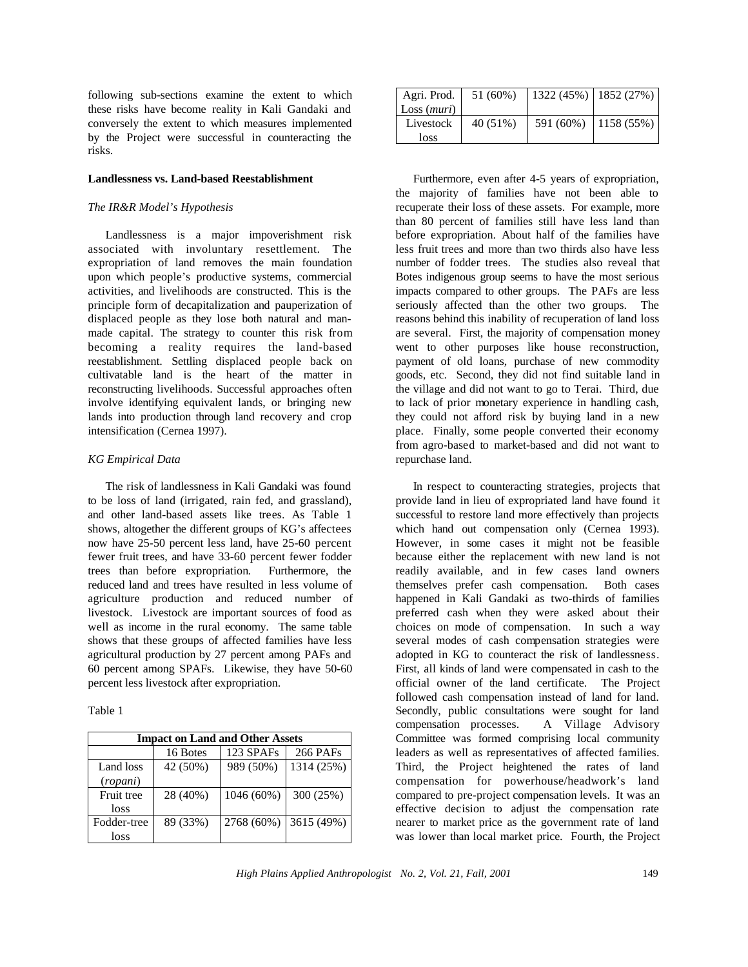following sub-sections examine the extent to which these risks have become reality in Kali Gandaki and conversely the extent to which measures implemented by the Project were successful in counteracting the risks.

#### **Landlessness vs. Land-based Reestablishment**

### *The IR&R Model's Hypothesis*

Landlessness is a major impoverishment risk associated with involuntary resettlement. The expropriation of land removes the main foundation upon which people's productive systems, commercial activities, and livelihoods are constructed. This is the principle form of decapitalization and pauperization of displaced people as they lose both natural and manmade capital. The strategy to counter this risk from becoming a reality requires the land-based reestablishment. Settling displaced people back on cultivatable land is the heart of the matter in reconstructing livelihoods. Successful approaches often involve identifying equivalent lands, or bringing new lands into production through land recovery and crop intensification (Cernea 1997).

#### *KG Empirical Data*

The risk of landlessness in Kali Gandaki was found to be loss of land (irrigated, rain fed, and grassland), and other land-based assets like trees. As Table 1 shows, altogether the different groups of KG's affectees now have 25-50 percent less land, have 25-60 percent fewer fruit trees, and have 33-60 percent fewer fodder trees than before expropriation. Furthermore, the reduced land and trees have resulted in less volume of agriculture production and reduced number of livestock. Livestock are important sources of food as well as income in the rural economy. The same table shows that these groups of affected families have less agricultural production by 27 percent among PAFs and 60 percent among SPAFs. Likewise, they have 50-60 percent less livestock after expropriation.

| . . |  |
|-----|--|
|     |  |

| <b>Impact on Land and Other Assets</b> |          |            |                 |
|----------------------------------------|----------|------------|-----------------|
|                                        | 16 Botes | 123 SPAFs  | <b>266 PAFs</b> |
| Land loss                              | 42 (50%) | 989 (50%)  | 1314 (25%)      |
| (ropani)                               |          |            |                 |
| Fruit tree                             | 28 (40%) | 1046 (60%) | 300 (25%)       |
| loss                                   |          |            |                 |
| Fodder-tree                            | 89 (33%) | 2768 (60%) | 3615 (49%)      |
| loss                                   |          |            |                 |

| Agri. Prod. | 51 (60%) | $1322(45%)$ 1852 (27%) |                        |
|-------------|----------|------------------------|------------------------|
| Loss (muri) |          |                        |                        |
| Livestock   | 40 (51%) |                        | 591 (60%)   1158 (55%) |
| loss        |          |                        |                        |

Furthermore, even after 4-5 years of expropriation, the majority of families have not been able to recuperate their loss of these assets. For example, more than 80 percent of families still have less land than before expropriation. About half of the families have less fruit trees and more than two thirds also have less number of fodder trees. The studies also reveal that Botes indigenous group seems to have the most serious impacts compared to other groups. The PAFs are less seriously affected than the other two groups. The reasons behind this inability of recuperation of land loss are several. First, the majority of compensation money went to other purposes like house reconstruction, payment of old loans, purchase of new commodity goods, etc. Second, they did not find suitable land in the village and did not want to go to Terai. Third, due to lack of prior monetary experience in handling cash, they could not afford risk by buying land in a new place. Finally, some people converted their economy from agro-based to market-based and did not want to repurchase land.

In respect to counteracting strategies, projects that provide land in lieu of expropriated land have found it successful to restore land more effectively than projects which hand out compensation only (Cernea 1993). However, in some cases it might not be feasible because either the replacement with new land is not readily available, and in few cases land owners themselves prefer cash compensation. Both cases happened in Kali Gandaki as two-thirds of families preferred cash when they were asked about their choices on mode of compensation. In such a way several modes of cash compensation strategies were adopted in KG to counteract the risk of landlessness. First, all kinds of land were compensated in cash to the official owner of the land certificate. The Project followed cash compensation instead of land for land. Secondly, public consultations were sought for land compensation processes. A Village Advisory Committee was formed comprising local community leaders as well as representatives of affected families. Third, the Project heightened the rates of land compensation for powerhouse/headwork's land compared to pre-project compensation levels. It was an effective decision to adjust the compensation rate nearer to market price as the government rate of land was lower than local market price. Fourth, the Project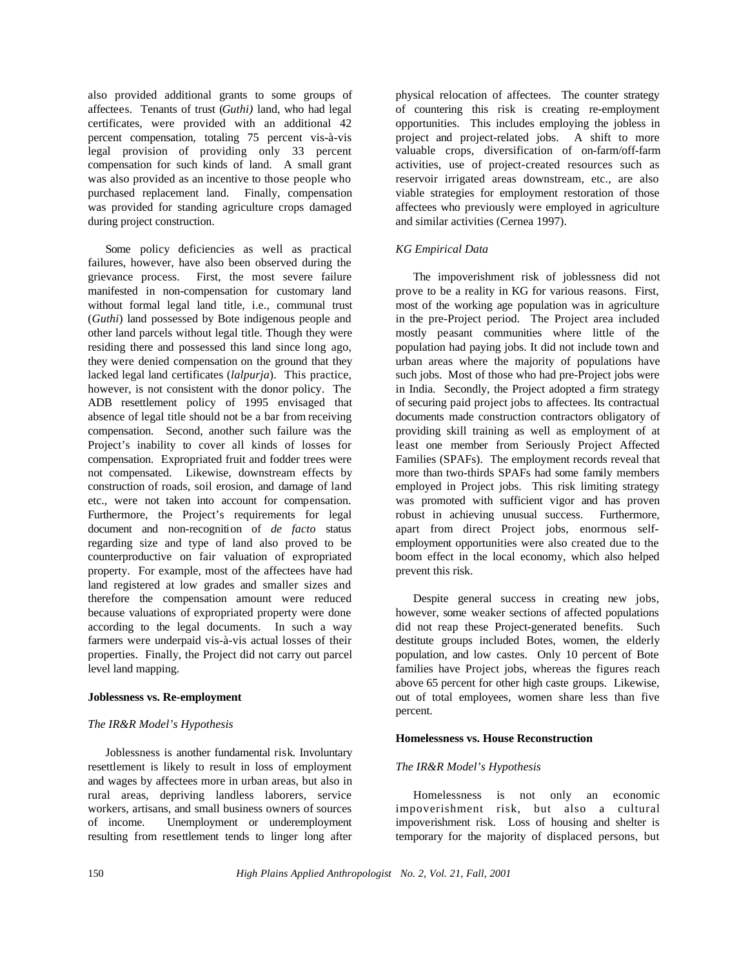also provided additional grants to some groups of affectees. Tenants of trust (*Guthi)* land, who had legal certificates, were provided with an additional 42 percent compensation, totaling 75 percent vis-à-vis legal provision of providing only 33 percent compensation for such kinds of land. A small grant was also provided as an incentive to those people who purchased replacement land. Finally, compensation was provided for standing agriculture crops damaged during project construction.

Some policy deficiencies as well as practical failures, however, have also been observed during the grievance process. First, the most severe failure manifested in non-compensation for customary land without formal legal land title, i.e., communal trust (*Guthi*) land possessed by Bote indigenous people and other land parcels without legal title. Though they were residing there and possessed this land since long ago, they were denied compensation on the ground that they lacked legal land certificates (*lalpurja*). This practice, however, is not consistent with the donor policy. The ADB resettlement policy of 1995 envisaged that absence of legal title should not be a bar from receiving compensation. Second, another such failure was the Project's inability to cover all kinds of losses for compensation. Expropriated fruit and fodder trees were not compensated. Likewise, downstream effects by construction of roads, soil erosion, and damage of land etc., were not taken into account for compensation. Furthermore, the Project's requirements for legal document and non-recognition of *de facto* status regarding size and type of land also proved to be counterproductive on fair valuation of expropriated property. For example, most of the affectees have had land registered at low grades and smaller sizes and therefore the compensation amount were reduced because valuations of expropriated property were done according to the legal documents. In such a way farmers were underpaid vis-à-vis actual losses of their properties. Finally, the Project did not carry out parcel level land mapping.

# **Joblessness vs. Re-employment**

# *The IR&R Model's Hypothesis*

Joblessness is another fundamental risk. Involuntary resettlement is likely to result in loss of employment and wages by affectees more in urban areas, but also in rural areas, depriving landless laborers, service workers, artisans, and small business owners of sources of income. Unemployment or underemployment resulting from resettlement tends to linger long after

physical relocation of affectees. The counter strategy of countering this risk is creating re-employment opportunities. This includes employing the jobless in project and project-related jobs. A shift to more valuable crops, diversification of on-farm/off-farm activities, use of project-created resources such as reservoir irrigated areas downstream, etc., are also viable strategies for employment restoration of those affectees who previously were employed in agriculture and similar activities (Cernea 1997).

# *KG Empirical Data*

The impoverishment risk of joblessness did not prove to be a reality in KG for various reasons. First, most of the working age population was in agriculture in the pre-Project period. The Project area included mostly peasant communities where little of the population had paying jobs. It did not include town and urban areas where the majority of populations have such jobs. Most of those who had pre-Project jobs were in India. Secondly, the Project adopted a firm strategy of securing paid project jobs to affectees. Its contractual documents made construction contractors obligatory of providing skill training as well as employment of at least one member from Seriously Project Affected Families (SPAFs). The employment records reveal that more than two-thirds SPAFs had some family members employed in Project jobs. This risk limiting strategy was promoted with sufficient vigor and has proven robust in achieving unusual success. Furthermore, apart from direct Project jobs, enormous selfemployment opportunities were also created due to the boom effect in the local economy, which also helped prevent this risk.

Despite general success in creating new jobs, however, some weaker sections of affected populations did not reap these Project-generated benefits. Such destitute groups included Botes, women, the elderly population, and low castes. Only 10 percent of Bote families have Project jobs, whereas the figures reach above 65 percent for other high caste groups. Likewise, out of total employees, women share less than five percent.

# **Homelessness vs. House Reconstruction**

# *The IR&R Model's Hypothesis*

Homelessness is not only an economic impoverishment risk, but also a cultural impoverishment risk. Loss of housing and shelter is temporary for the majority of displaced persons, but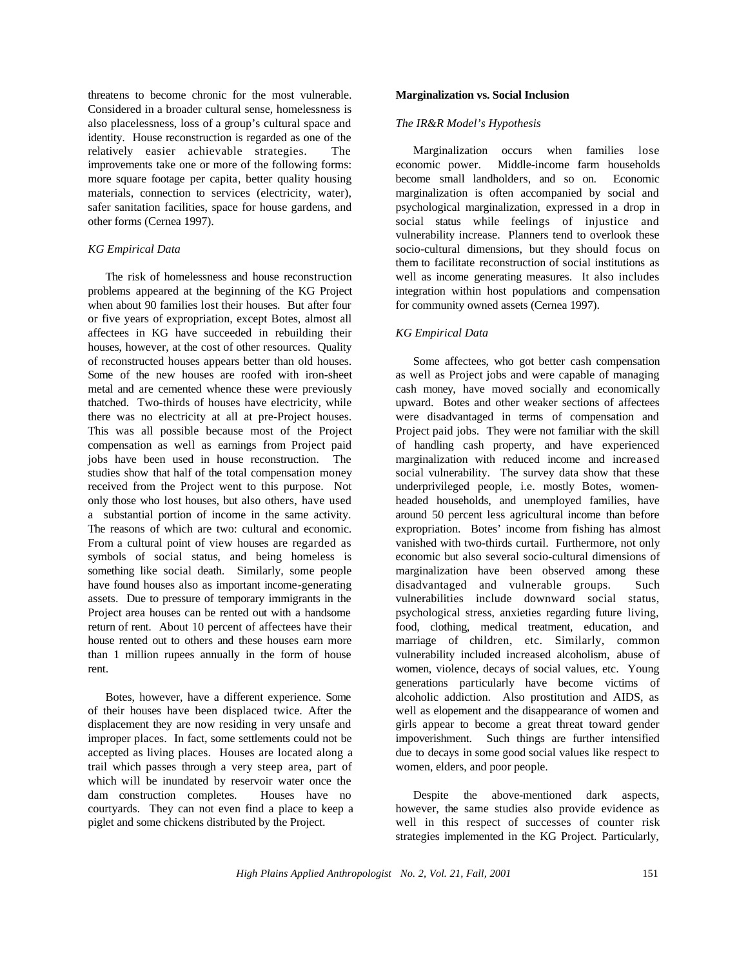threatens to become chronic for the most vulnerable. Considered in a broader cultural sense, homelessness is also placelessness, loss of a group's cultural space and identity. House reconstruction is regarded as one of the relatively easier achievable strategies. The improvements take one or more of the following forms: more square footage per capita, better quality housing materials, connection to services (electricity, water), safer sanitation facilities, space for house gardens, and other forms (Cernea 1997).

## *KG Empirical Data*

The risk of homelessness and house reconstruction problems appeared at the beginning of the KG Project when about 90 families lost their houses. But after four or five years of expropriation, except Botes, almost all affectees in KG have succeeded in rebuilding their houses, however, at the cost of other resources. Quality of reconstructed houses appears better than old houses. Some of the new houses are roofed with iron-sheet metal and are cemented whence these were previously thatched. Two-thirds of houses have electricity, while there was no electricity at all at pre-Project houses. This was all possible because most of the Project compensation as well as earnings from Project paid jobs have been used in house reconstruction. The studies show that half of the total compensation money received from the Project went to this purpose. Not only those who lost houses, but also others, have used a substantial portion of income in the same activity. The reasons of which are two: cultural and economic. From a cultural point of view houses are regarded as symbols of social status, and being homeless is something like social death. Similarly, some people have found houses also as important income-generating assets. Due to pressure of temporary immigrants in the Project area houses can be rented out with a handsome return of rent. About 10 percent of affectees have their house rented out to others and these houses earn more than 1 million rupees annually in the form of house rent.

Botes, however, have a different experience. Some of their houses have been displaced twice. After the displacement they are now residing in very unsafe and improper places. In fact, some settlements could not be accepted as living places. Houses are located along a trail which passes through a very steep area, part of which will be inundated by reservoir water once the dam construction completes. Houses have no courtyards. They can not even find a place to keep a piglet and some chickens distributed by the Project.

#### **Marginalization vs. Social Inclusion**

#### *The IR&R Model's Hypothesis*

Marginalization occurs when families lose economic power. Middle-income farm households become small landholders, and so on. Economic marginalization is often accompanied by social and psychological marginalization, expressed in a drop in social status while feelings of injustice and vulnerability increase. Planners tend to overlook these socio-cultural dimensions, but they should focus on them to facilitate reconstruction of social institutions as well as income generating measures. It also includes integration within host populations and compensation for community owned assets (Cernea 1997).

## *KG Empirical Data*

Some affectees, who got better cash compensation as well as Project jobs and were capable of managing cash money, have moved socially and economically upward. Botes and other weaker sections of affectees were disadvantaged in terms of compensation and Project paid jobs. They were not familiar with the skill of handling cash property, and have experienced marginalization with reduced income and increased social vulnerability. The survey data show that these underprivileged people, i.e. mostly Botes, womenheaded households, and unemployed families, have around 50 percent less agricultural income than before expropriation. Botes' income from fishing has almost vanished with two-thirds curtail. Furthermore, not only economic but also several socio-cultural dimensions of marginalization have been observed among these disadvantaged and vulnerable groups. Such vulnerabilities include downward social status, psychological stress, anxieties regarding future living, food, clothing, medical treatment, education, and marriage of children, etc. Similarly, common vulnerability included increased alcoholism, abuse of women, violence, decays of social values, etc. Young generations particularly have become victims of alcoholic addiction. Also prostitution and AIDS, as well as elopement and the disappearance of women and girls appear to become a great threat toward gender impoverishment. Such things are further intensified due to decays in some good social values like respect to women, elders, and poor people.

Despite the above-mentioned dark aspects, however, the same studies also provide evidence as well in this respect of successes of counter risk strategies implemented in the KG Project. Particularly,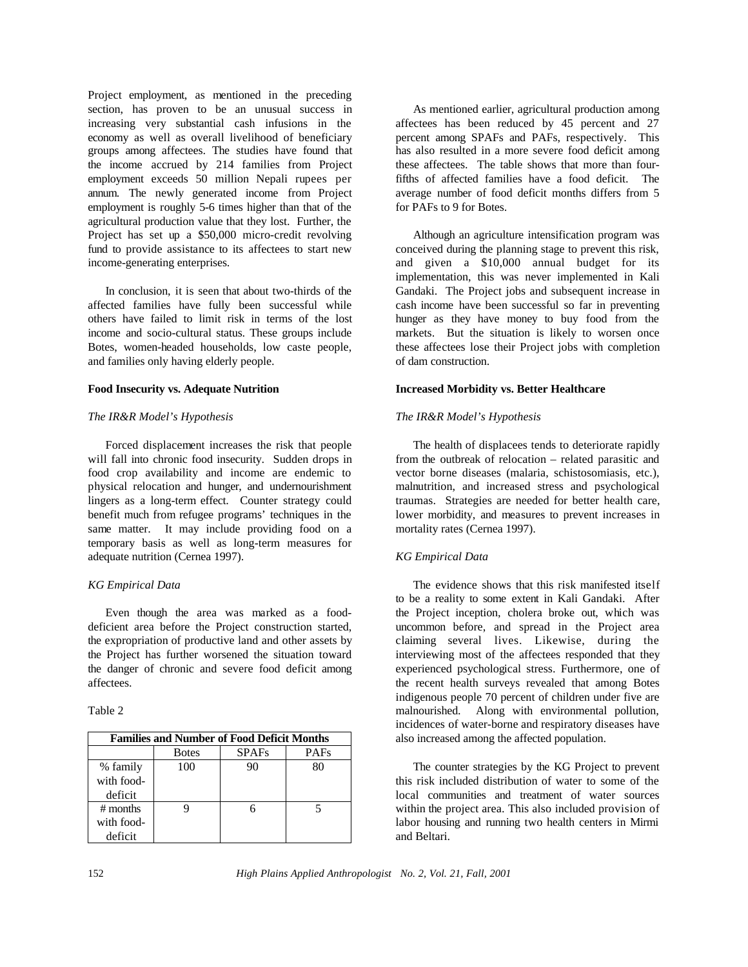Project employment, as mentioned in the preceding section, has proven to be an unusual success in increasing very substantial cash infusions in the economy as well as overall livelihood of beneficiary groups among affectees. The studies have found that the income accrued by 214 families from Project employment exceeds 50 million Nepali rupees per annum. The newly generated income from Project employment is roughly 5-6 times higher than that of the agricultural production value that they lost. Further, the Project has set up a \$50,000 micro-credit revolving fund to provide assistance to its affectees to start new income-generating enterprises.

In conclusion, it is seen that about two-thirds of the affected families have fully been successful while others have failed to limit risk in terms of the lost income and socio-cultural status. These groups include Botes, women-headed households, low caste people, and families only having elderly people.

#### **Food Insecurity vs. Adequate Nutrition**

## *The IR&R Model's Hypothesis*

Forced displacement increases the risk that people will fall into chronic food insecurity. Sudden drops in food crop availability and income are endemic to physical relocation and hunger, and undernourishment lingers as a long-term effect. Counter strategy could benefit much from refugee programs' techniques in the same matter. It may include providing food on a temporary basis as well as long-term measures for adequate nutrition (Cernea 1997).

# *KG Empirical Data*

Even though the area was marked as a fooddeficient area before the Project construction started, the expropriation of productive land and other assets by the Project has further worsened the situation toward the danger of chronic and severe food deficit among affectees.

| <b>Families and Number of Food Deficit Months</b> |              |              |             |
|---------------------------------------------------|--------------|--------------|-------------|
|                                                   | <b>Botes</b> | <b>SPAFs</b> | <b>PAFs</b> |
| % family                                          | 100          | 90           | 80          |
| with food-                                        |              |              |             |
| deficit                                           |              |              |             |
| $#$ months                                        |              |              |             |
| with food-                                        |              |              |             |
| deficit                                           |              |              |             |

As mentioned earlier, agricultural production among affectees has been reduced by 45 percent and 27 percent among SPAFs and PAFs, respectively. This has also resulted in a more severe food deficit among these affectees. The table shows that more than fourfifths of affected families have a food deficit. The average number of food deficit months differs from 5 for PAFs to 9 for Botes.

Although an agriculture intensification program was conceived during the planning stage to prevent this risk, and given a \$10,000 annual budget for its implementation, this was never implemented in Kali Gandaki. The Project jobs and subsequent increase in cash income have been successful so far in preventing hunger as they have money to buy food from the markets. But the situation is likely to worsen once these affectees lose their Project jobs with completion of dam construction.

## **Increased Morbidity vs. Better Healthcare**

## *The IR&R Model's Hypothesis*

The health of displacees tends to deteriorate rapidly from the outbreak of relocation – related parasitic and vector borne diseases (malaria, schistosomiasis, etc.), malnutrition, and increased stress and psychological traumas. Strategies are needed for better health care, lower morbidity, and measures to prevent increases in mortality rates (Cernea 1997).

# *KG Empirical Data*

The evidence shows that this risk manifested itself to be a reality to some extent in Kali Gandaki. After the Project inception, cholera broke out, which was uncommon before, and spread in the Project area claiming several lives. Likewise, during the interviewing most of the affectees responded that they experienced psychological stress. Furthermore, one of the recent health surveys revealed that among Botes indigenous people 70 percent of children under five are malnourished. Along with environmental pollution, incidences of water-borne and respiratory diseases have also increased among the affected population.

The counter strategies by the KG Project to prevent this risk included distribution of water to some of the local communities and treatment of water sources within the project area. This also included provision of labor housing and running two health centers in Mirmi and Beltari.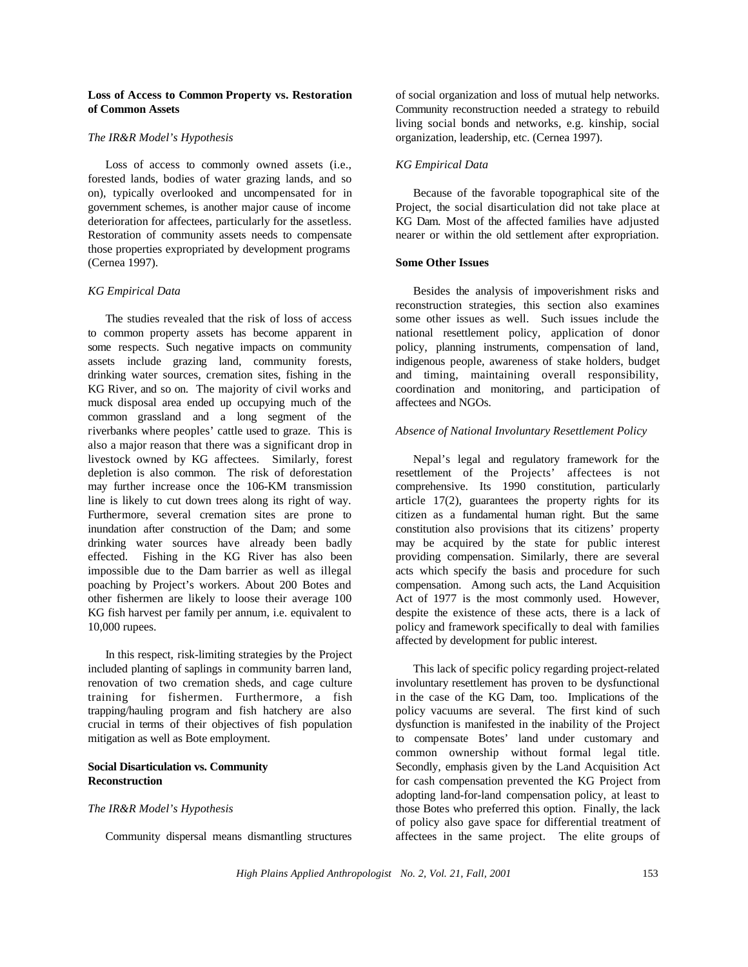# **Loss of Access to Common Property vs. Restoration of Common Assets**

#### *The IR&R Model's Hypothesis*

Loss of access to commonly owned assets (i.e., forested lands, bodies of water grazing lands, and so on), typically overlooked and uncompensated for in government schemes, is another major cause of income deterioration for affectees, particularly for the assetless. Restoration of community assets needs to compensate those properties expropriated by development programs (Cernea 1997).

#### *KG Empirical Data*

The studies revealed that the risk of loss of access to common property assets has become apparent in some respects. Such negative impacts on community assets include grazing land, community forests, drinking water sources, cremation sites, fishing in the KG River, and so on. The majority of civil works and muck disposal area ended up occupying much of the common grassland and a long segment of the riverbanks where peoples' cattle used to graze. This is also a major reason that there was a significant drop in livestock owned by KG affectees. Similarly, forest depletion is also common. The risk of deforestation may further increase once the 106-KM transmission line is likely to cut down trees along its right of way. Furthermore, several cremation sites are prone to inundation after construction of the Dam; and some drinking water sources have already been badly effected. Fishing in the KG River has also been impossible due to the Dam barrier as well as illegal poaching by Project's workers. About 200 Botes and other fishermen are likely to loose their average 100 KG fish harvest per family per annum, i.e. equivalent to 10,000 rupees.

In this respect, risk-limiting strategies by the Project included planting of saplings in community barren land, renovation of two cremation sheds, and cage culture training for fishermen. Furthermore, a fish trapping/hauling program and fish hatchery are also crucial in terms of their objectives of fish population mitigation as well as Bote employment.

#### **Social Disarticulation vs. Community Reconstruction**

#### *The IR&R Model's Hypothesis*

Community dispersal means dismantling structures

of social organization and loss of mutual help networks. Community reconstruction needed a strategy to rebuild living social bonds and networks, e.g. kinship, social organization, leadership, etc. (Cernea 1997).

## *KG Empirical Data*

Because of the favorable topographical site of the Project, the social disarticulation did not take place at KG Dam. Most of the affected families have adjusted nearer or within the old settlement after expropriation.

## **Some Other Issues**

Besides the analysis of impoverishment risks and reconstruction strategies, this section also examines some other issues as well. Such issues include the national resettlement policy, application of donor policy, planning instruments, compensation of land, indigenous people, awareness of stake holders, budget and timing, maintaining overall responsibility, coordination and monitoring, and participation of affectees and NGOs.

#### *Absence of National Involuntary Resettlement Policy*

Nepal's legal and regulatory framework for the resettlement of the Projects' affectees is not comprehensive. Its 1990 constitution, particularly article 17(2), guarantees the property rights for its citizen as a fundamental human right. But the same constitution also provisions that its citizens' property may be acquired by the state for public interest providing compensation. Similarly, there are several acts which specify the basis and procedure for such compensation. Among such acts, the Land Acquisition Act of 1977 is the most commonly used. However, despite the existence of these acts, there is a lack of policy and framework specifically to deal with families affected by development for public interest.

This lack of specific policy regarding project-related involuntary resettlement has proven to be dysfunctional in the case of the KG Dam, too. Implications of the policy vacuums are several. The first kind of such dysfunction is manifested in the inability of the Project to compensate Botes' land under customary and common ownership without formal legal title. Secondly, emphasis given by the Land Acquisition Act for cash compensation prevented the KG Project from adopting land-for-land compensation policy, at least to those Botes who preferred this option. Finally, the lack of policy also gave space for differential treatment of affectees in the same project. The elite groups of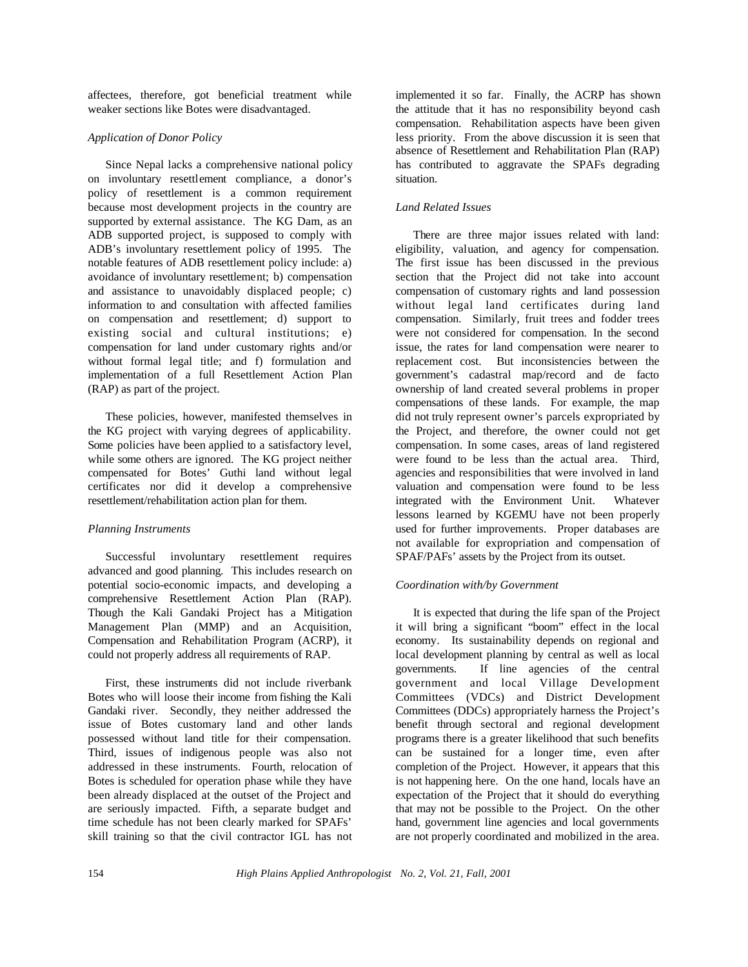affectees, therefore, got beneficial treatment while weaker sections like Botes were disadvantaged.

# *Application of Donor Policy*

Since Nepal lacks a comprehensive national policy on involuntary resettlement compliance, a donor's policy of resettlement is a common requirement because most development projects in the country are supported by external assistance. The KG Dam, as an ADB supported project, is supposed to comply with ADB's involuntary resettlement policy of 1995. The notable features of ADB resettlement policy include: a) avoidance of involuntary resettlement; b) compensation and assistance to unavoidably displaced people; c) information to and consultation with affected families on compensation and resettlement; d) support to existing social and cultural institutions; e) compensation for land under customary rights and/or without formal legal title; and f) formulation and implementation of a full Resettlement Action Plan (RAP) as part of the project.

These policies, however, manifested themselves in the KG project with varying degrees of applicability. Some policies have been applied to a satisfactory level, while some others are ignored. The KG project neither compensated for Botes' Guthi land without legal certificates nor did it develop a comprehensive resettlement/rehabilitation action plan for them.

# *Planning Instruments*

Successful involuntary resettlement requires advanced and good planning. This includes research on potential socio-economic impacts, and developing a comprehensive Resettlement Action Plan (RAP). Though the Kali Gandaki Project has a Mitigation Management Plan (MMP) and an Acquisition, Compensation and Rehabilitation Program (ACRP), it could not properly address all requirements of RAP.

First, these instruments did not include riverbank Botes who will loose their income from fishing the Kali Gandaki river. Secondly, they neither addressed the issue of Botes customary land and other lands possessed without land title for their compensation. Third, issues of indigenous people was also not addressed in these instruments. Fourth, relocation of Botes is scheduled for operation phase while they have been already displaced at the outset of the Project and are seriously impacted. Fifth, a separate budget and time schedule has not been clearly marked for SPAFs' skill training so that the civil contractor IGL has not

implemented it so far. Finally, the ACRP has shown the attitude that it has no responsibility beyond cash compensation. Rehabilitation aspects have been given less priority. From the above discussion it is seen that absence of Resettlement and Rehabilitation Plan (RAP) has contributed to aggravate the SPAFs degrading situation.

# *Land Related Issues*

There are three major issues related with land: eligibility, valuation, and agency for compensation. The first issue has been discussed in the previous section that the Project did not take into account compensation of customary rights and land possession without legal land certificates during land compensation. Similarly, fruit trees and fodder trees were not considered for compensation. In the second issue, the rates for land compensation were nearer to replacement cost. But inconsistencies between the government's cadastral map/record and de facto ownership of land created several problems in proper compensations of these lands. For example, the map did not truly represent owner's parcels expropriated by the Project, and therefore, the owner could not get compensation. In some cases, areas of land registered were found to be less than the actual area. Third, agencies and responsibilities that were involved in land valuation and compensation were found to be less integrated with the Environment Unit. Whatever lessons learned by KGEMU have not been properly used for further improvements. Proper databases are not available for expropriation and compensation of SPAF/PAFs' assets by the Project from its outset.

# *Coordination with/by Government*

It is expected that during the life span of the Project it will bring a significant "boom" effect in the local economy. Its sustainability depends on regional and local development planning by central as well as local governments. If line agencies of the central government and local Village Development Committees (VDCs) and District Development Committees (DDCs) appropriately harness the Project's benefit through sectoral and regional development programs there is a greater likelihood that such benefits can be sustained for a longer time, even after completion of the Project. However, it appears that this is not happening here. On the one hand, locals have an expectation of the Project that it should do everything that may not be possible to the Project. On the other hand, government line agencies and local governments are not properly coordinated and mobilized in the area.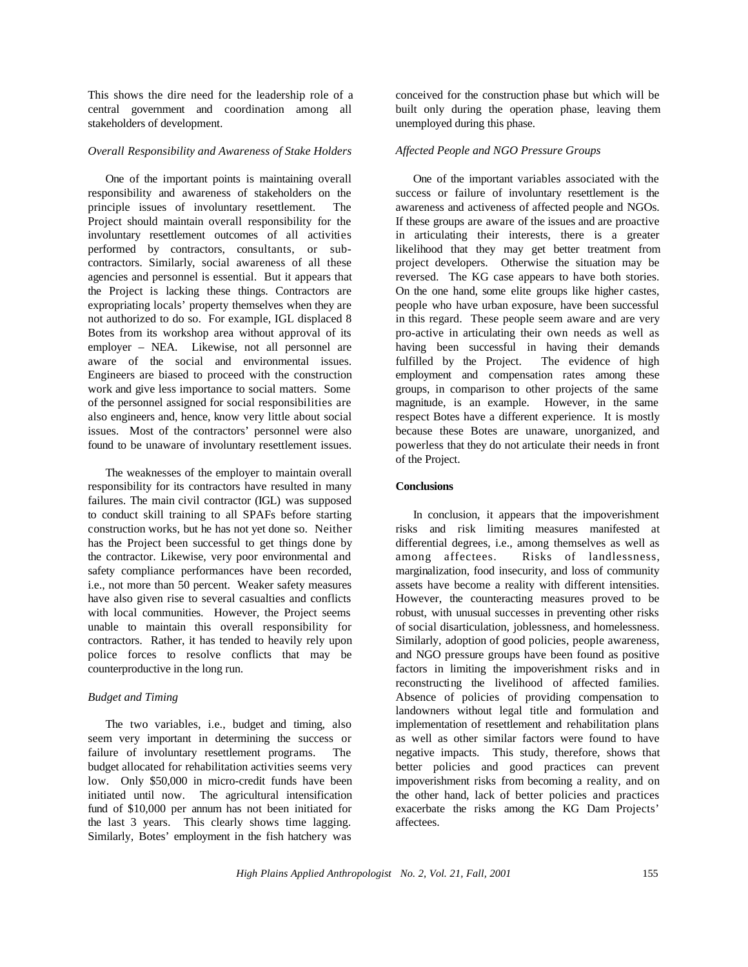This shows the dire need for the leadership role of a central government and coordination among all stakeholders of development.

## *Overall Responsibility and Awareness of Stake Holders*

One of the important points is maintaining overall responsibility and awareness of stakeholders on the principle issues of involuntary resettlement. The Project should maintain overall responsibility for the involuntary resettlement outcomes of all activities performed by contractors, consultants, or subcontractors. Similarly, social awareness of all these agencies and personnel is essential. But it appears that the Project is lacking these things. Contractors are expropriating locals' property themselves when they are not authorized to do so. For example, IGL displaced 8 Botes from its workshop area without approval of its employer – NEA. Likewise, not all personnel are aware of the social and environmental issues. Engineers are biased to proceed with the construction work and give less importance to social matters. Some of the personnel assigned for social responsibilities are also engineers and, hence, know very little about social issues. Most of the contractors' personnel were also found to be unaware of involuntary resettlement issues.

The weaknesses of the employer to maintain overall responsibility for its contractors have resulted in many failures. The main civil contractor (IGL) was supposed to conduct skill training to all SPAFs before starting construction works, but he has not yet done so. Neither has the Project been successful to get things done by the contractor. Likewise, very poor environmental and safety compliance performances have been recorded, i.e., not more than 50 percent. Weaker safety measures have also given rise to several casualties and conflicts with local communities. However, the Project seems unable to maintain this overall responsibility for contractors. Rather, it has tended to heavily rely upon police forces to resolve conflicts that may be counterproductive in the long run.

# *Budget and Timing*

The two variables, i.e., budget and timing, also seem very important in determining the success or failure of involuntary resettlement programs. The budget allocated for rehabilitation activities seems very low. Only \$50,000 in micro-credit funds have been initiated until now. The agricultural intensification fund of \$10,000 per annum has not been initiated for the last 3 years. This clearly shows time lagging. Similarly, Botes' employment in the fish hatchery was

conceived for the construction phase but which will be built only during the operation phase, leaving them unemployed during this phase.

## *Affected People and NGO Pressure Groups*

One of the important variables associated with the success or failure of involuntary resettlement is the awareness and activeness of affected people and NGOs. If these groups are aware of the issues and are proactive in articulating their interests, there is a greater likelihood that they may get better treatment from project developers. Otherwise the situation may be reversed. The KG case appears to have both stories. On the one hand, some elite groups like higher castes, people who have urban exposure, have been successful in this regard. These people seem aware and are very pro-active in articulating their own needs as well as having been successful in having their demands fulfilled by the Project. The evidence of high employment and compensation rates among these groups, in comparison to other projects of the same magnitude, is an example. However, in the same respect Botes have a different experience. It is mostly because these Botes are unaware, unorganized, and powerless that they do not articulate their needs in front of the Project.

## **Conclusions**

In conclusion, it appears that the impoverishment risks and risk limiting measures manifested at differential degrees, i.e., among themselves as well as among affectees. Risks of landlessness, marginalization, food insecurity, and loss of community assets have become a reality with different intensities. However, the counteracting measures proved to be robust, with unusual successes in preventing other risks of social disarticulation, joblessness, and homelessness. Similarly, adoption of good policies, people awareness, and NGO pressure groups have been found as positive factors in limiting the impoverishment risks and in reconstructing the livelihood of affected families. Absence of policies of providing compensation to landowners without legal title and formulation and implementation of resettlement and rehabilitation plans as well as other similar factors were found to have negative impacts. This study, therefore, shows that better policies and good practices can prevent impoverishment risks from becoming a reality, and on the other hand, lack of better policies and practices exacerbate the risks among the KG Dam Projects' affectees.